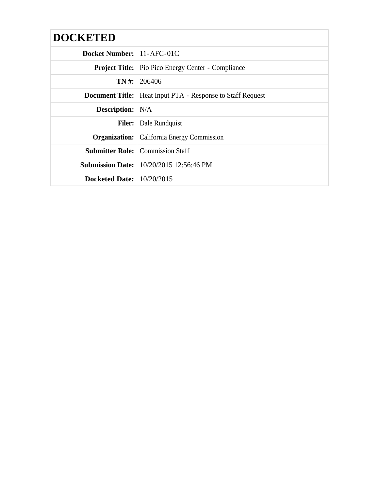| <b>DOCKETED</b>             |                                                                     |  |  |
|-----------------------------|---------------------------------------------------------------------|--|--|
| Docket Number:   11-AFC-01C |                                                                     |  |  |
|                             | <b>Project Title:</b> Pio Pico Energy Center - Compliance           |  |  |
|                             | $TN \#: 206406$                                                     |  |  |
|                             | <b>Document Title:</b>   Heat Input PTA - Response to Staff Request |  |  |
| <b>Description:</b> N/A     |                                                                     |  |  |
|                             | <b>Filer:</b> Dale Rundquist                                        |  |  |
|                             | <b>Organization:</b> California Energy Commission                   |  |  |
|                             | <b>Submitter Role:</b> Commission Staff                             |  |  |
|                             | <b>Submission Date:</b> 10/20/2015 12:56:46 PM                      |  |  |
| Docketed Date: $10/20/2015$ |                                                                     |  |  |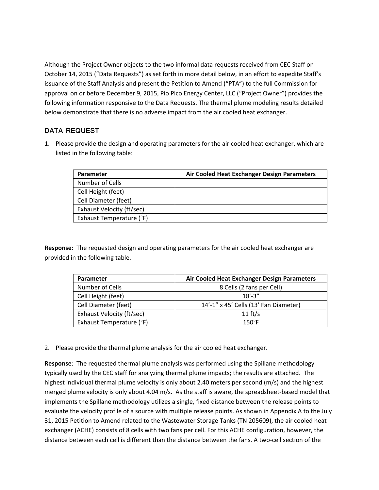Although the Project Owner objects to the two informal data requests received from CEC Staff on October 14, 2015 ("Data Requests") as set forth in more detail below, in an effort to expedite Staff's issuance of the Staff Analysis and present the Petition to Amend ("PTA") to the full Commission for approval on or before December 9, 2015, Pio Pico Energy Center, LLC ("Project Owner") provides the following information responsive to the Data Requests. The thermal plume modeling results detailed below demonstrate that there is no adverse impact from the air cooled heat exchanger.

## **DATA REQUEST**

1. Please provide the design and operating parameters for the air cooled heat exchanger, which are listed in the following table:

| <b>Parameter</b>          | Air Cooled Heat Exchanger Design Parameters |
|---------------------------|---------------------------------------------|
| Number of Cells           |                                             |
| Cell Height (feet)        |                                             |
| Cell Diameter (feet)      |                                             |
| Exhaust Velocity (ft/sec) |                                             |
| Exhaust Temperature (°F)  |                                             |

**Response**: The requested design and operating parameters for the air cooled heat exchanger are provided in the following table.

| <b>Parameter</b>          | Air Cooled Heat Exchanger Design Parameters |
|---------------------------|---------------------------------------------|
| Number of Cells           | 8 Cells (2 fans per Cell)                   |
| Cell Height (feet)        | $18' - 3''$                                 |
| Cell Diameter (feet)      | 14'-1" x 45' Cells (13' Fan Diameter)       |
| Exhaust Velocity (ft/sec) | 11 $ft/s$                                   |
| Exhaust Temperature (°F)  | $150^{\circ}F$                              |

2. Please provide the thermal plume analysis for the air cooled heat exchanger.

**Response**: The requested thermal plume analysis was performed using the Spillane methodology typically used by the CEC staff for analyzing thermal plume impacts; the results are attached. The highest individual thermal plume velocity is only about 2.40 meters per second (m/s) and the highest merged plume velocity is only about 4.04 m/s. As the staff is aware, the spreadsheet-based model that implements the Spillane methodology utilizes a single, fixed distance between the release points to evaluate the velocity profile of a source with multiple release points. As shown in Appendix A to the July 31, 2015 Petition to Amend related to the Wastewater Storage Tanks (TN 205609), the air cooled heat exchanger (ACHE) consists of 8 cells with two fans per cell. For this ACHE configuration, however, the distance between each cell is different than the distance between the fans. A two‐cell section of the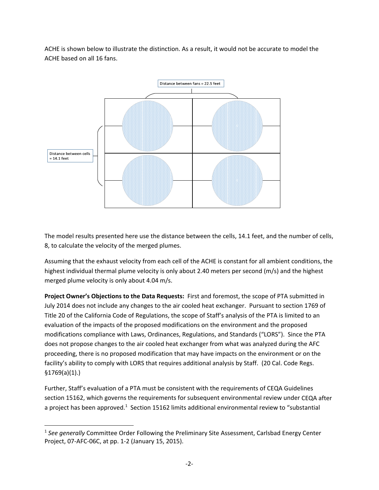ACHE is shown below to illustrate the distinction. As a result, it would not be accurate to model the ACHE based on all 16 fans.



The model results presented here use the distance between the cells, 14.1 feet, and the number of cells, 8, to calculate the velocity of the merged plumes.

Assuming that the exhaust velocity from each cell of the ACHE is constant for all ambient conditions, the highest individual thermal plume velocity is only about 2.40 meters per second (m/s) and the highest merged plume velocity is only about 4.04 m/s.

**Project Owner's Objections to the Data Requests:** First and foremost, the scope of PTA submitted in July 2014 does not include any changes to the air cooled heat exchanger. Pursuant to section 1769 of Title 20 of the California Code of Regulations, the scope of Staff's analysis of the PTA is limited to an evaluation of the impacts of the proposed modifications on the environment and the proposed modifications compliance with Laws, Ordinances, Regulations, and Standards ("LORS"). Since the PTA does not propose changes to the air cooled heat exchanger from what was analyzed during the AFC proceeding, there is no proposed modification that may have impacts on the environment or on the facility's ability to comply with LORS that requires additional analysis by Staff. (20 Cal. Code Regs. §1769(a)(1).)

Further, Staff's evaluation of a PTA must be consistent with the requirements of CEQA Guidelines section 15162, which governs the requirements for subsequent environmental review under CEQA after a project has been approved.<sup>1</sup> Section 15162 limits additional environmental review to "substantial

<sup>1</sup> *See generally* Committee Order Following the Preliminary Site Assessment, Carlsbad Energy Center Project, 07‐AFC‐06C, at pp. 1‐2 (January 15, 2015).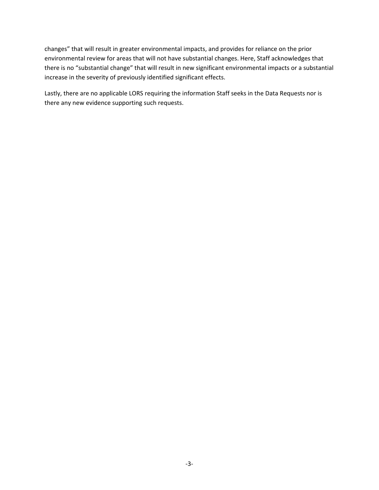changes" that will result in greater environmental impacts, and provides for reliance on the prior environmental review for areas that will not have substantial changes. Here, Staff acknowledges that there is no "substantial change" that will result in new significant environmental impacts or a substantial increase in the severity of previously identified significant effects.

Lastly, there are no applicable LORS requiring the information Staff seeks in the Data Requests nor is there any new evidence supporting such requests.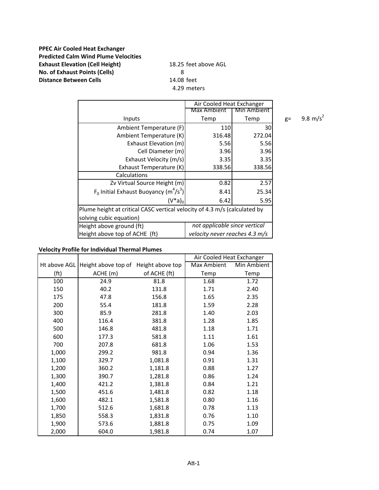## **PPEC Air Cooled Heat Exchanger Predicted Calm Wind Plume Velocities Exhaust Elevation (Cell Height)** 18.25 feet above AGL **No. of Exhaust Points (Cells)** 8 **Distance Between Cells** 14.08 feet

4.29 meters

|                                                                           | Air Cooled Heat Exchanger      |             |  |
|---------------------------------------------------------------------------|--------------------------------|-------------|--|
|                                                                           | Max Ambient                    | Min Ambient |  |
| Inputs                                                                    | Temp                           | Temp        |  |
| Ambient Temperature (F)                                                   | 110                            | 30          |  |
| Ambient Temperature (K)                                                   | 316.48                         | 272.04      |  |
| Exhaust Elevation (m)                                                     | 5.56                           | 5.56        |  |
| Cell Diameter (m)                                                         | 3.96                           | 3.96        |  |
| Exhaust Velocity (m/s)                                                    | 3.35                           | 3.35        |  |
| Exhaust Temperature (K)                                                   | 338.56                         | 338.56      |  |
| Calculations                                                              |                                |             |  |
| Zv Virtual Source Height (m)                                              | 0.82                           | 2.57        |  |
| $F_0$ Initial Exhaust Buoyancy (m <sup>4</sup> /s <sup>3</sup> )          | 8.41                           | 25.34       |  |
| $(V^*a)_0$                                                                | 6.42                           | 5.95        |  |
| Plume height at critical CASC vertical velocity of 4.3 m/s (calculated by |                                |             |  |
| solving cubic equation)                                                   |                                |             |  |
| Height above ground (ft)                                                  | not applicable since vertical  |             |  |
| Height above top of ACHE (ft)                                             | velocity never reaches 4.3 m/s |             |  |

 $g=$  9.8 m/s<sup>2</sup>

## **Velocity Profile for Individual Thermal Plumes**

|                   |                     |                  | Air Cooled Heat Exchanger |             |
|-------------------|---------------------|------------------|---------------------------|-------------|
| Ht above AGL      | Height above top of | Height above top | Max Ambient               | Min Ambient |
| (f <sup>t</sup> ) | ACHE (m)            | of ACHE (ft)     | Temp                      | Temp        |
| 100               | 24.9                | 81.8             | 1.68                      | 1.72        |
| 150               | 40.2                | 131.8            | 1.71                      | 2.40        |
| 175               | 47.8                | 156.8            | 1.65                      | 2.35        |
| 200               | 55.4                | 181.8            | 1.59                      | 2.28        |
| 300               | 85.9                | 281.8            | 1.40                      | 2.03        |
| 400               | 116.4               | 381.8            | 1.28                      | 1.85        |
| 500               | 146.8               | 481.8            | 1.18                      | 1.71        |
| 600               | 177.3               | 581.8            | 1.11                      | 1.61        |
| 700               | 207.8               | 681.8            | 1.06                      | 1.53        |
| 1,000             | 299.2               | 981.8            | 0.94                      | 1.36        |
| 1,100             | 329.7               | 1,081.8          | 0.91                      | 1.31        |
| 1,200             | 360.2               | 1,181.8          | 0.88                      | 1.27        |
| 1,300             | 390.7               | 1,281.8          | 0.86                      | 1.24        |
| 1,400             | 421.2               | 1,381.8          | 0.84                      | 1.21        |
| 1,500             | 451.6               | 1,481.8          | 0.82                      | 1.18        |
| 1,600             | 482.1               | 1,581.8          | 0.80                      | 1.16        |
| 1,700             | 512.6               | 1,681.8          | 0.78                      | 1.13        |
| 1,850             | 558.3               | 1,831.8          | 0.76                      | 1.10        |
| 1,900             | 573.6               | 1,881.8          | 0.75                      | 1.09        |
| 2,000             | 604.0               | 1,981.8          | 0.74                      | 1.07        |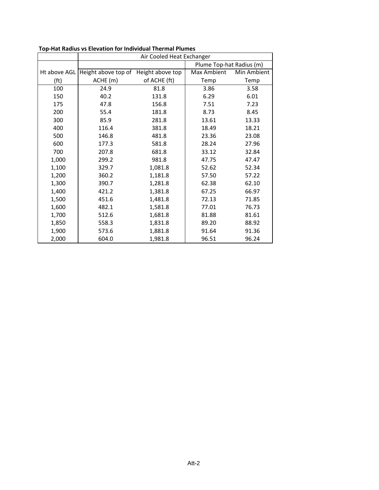|                   | Air Cooled Heat Exchanger |                  |                          |             |
|-------------------|---------------------------|------------------|--------------------------|-------------|
|                   |                           |                  | Plume Top-hat Radius (m) |             |
| Ht above AGL      | Height above top of       | Height above top | Max Ambient              | Min Ambient |
| (f <sub>t</sub> ) | ACHE (m)                  | of ACHE (ft)     | Temp                     | Temp        |
| 100               | 24.9                      | 81.8             | 3.86                     | 3.58        |
| 150               | 40.2                      | 131.8            | 6.29                     | 6.01        |
| 175               | 47.8                      | 156.8            | 7.51                     | 7.23        |
| 200               | 55.4                      | 181.8            | 8.73                     | 8.45        |
| 300               | 85.9                      | 281.8            | 13.61                    | 13.33       |
| 400               | 116.4                     | 381.8            | 18.49                    | 18.21       |
| 500               | 146.8                     | 481.8            | 23.36                    | 23.08       |
| 600               | 177.3                     | 581.8            | 28.24                    | 27.96       |
| 700               | 207.8                     | 681.8            | 33.12                    | 32.84       |
| 1,000             | 299.2                     | 981.8            | 47.75                    | 47.47       |
| 1,100             | 329.7                     | 1,081.8          | 52.62                    | 52.34       |
| 1,200             | 360.2                     | 1,181.8          | 57.50                    | 57.22       |
| 1,300             | 390.7                     | 1,281.8          | 62.38                    | 62.10       |
| 1,400             | 421.2                     | 1,381.8          | 67.25                    | 66.97       |
| 1,500             | 451.6                     | 1,481.8          | 72.13                    | 71.85       |
| 1,600             | 482.1                     | 1,581.8          | 77.01                    | 76.73       |
| 1,700             | 512.6                     | 1,681.8          | 81.88                    | 81.61       |
| 1,850             | 558.3                     | 1,831.8          | 89.20                    | 88.92       |
| 1,900             | 573.6                     | 1,881.8          | 91.64                    | 91.36       |
| 2,000             | 604.0                     | 1,981.8          | 96.51                    | 96.24       |

**Top‐Hat Radius vs Elevation for Individual Thermal Plumes**